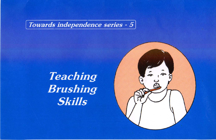Towards independence series -  $5$ 

# Teaching<br>Brushing **Skills**

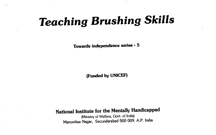# Teaching Brushing Skills

Towards independence series - 5

(Funded by UNICEF)

National Institute for the Mentally Handicapped

(Ministry of Welfare, Govt. of India) Manovikas Nagar, Secunderabad 500 009. A.P.India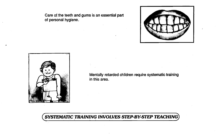Care of the teeth and gums is an essential part of personal hygiene.





Mentally retarded children require systematic training in this area.

#### SYSTEMATIC TRAINING INVOLVES STEP-BY-STEP TEACHING)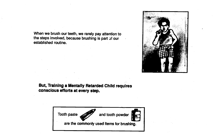When we brush our teeth, we rarely pay attention to the steps involved, because brushing is part of our established routine.



#### But, Training a Mentally Retarded Child requires conscious efforts at every step.

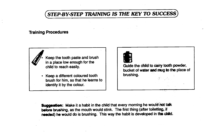#### STEP-BY-STEP TRAINING IS THE KEY TO SUCCESS

#### Training Procedures



• Keep the tooth paste and brush in a place low enough for the child to reach easily.

• Keep a different coloured tooth brush for him, so that he learns to identify it by the colour.



Guide the child to carry tooth powder, bucket of water and mug to the place of brushing

Suggestion: Make it a habit in the child that every morning he would not talk before brushing, as the mouth would stink. The first thing (after toiletting, if needed) he would do is brushing. This way the habit is developed in the child.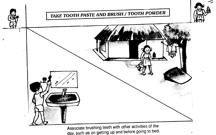

Associate brushing teeth with other activities of the day, such as on getting up and before going to bed.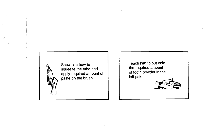

Show him how to squeeze the tube and apply required amount of paste on the brush

Teach him to put only the required amount of tooth powder in the left palm.

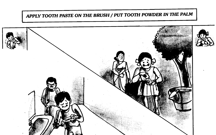### APPLY TOOTH PASTE ON THE BRUSH / PUT TOOTH POWDER IN THE PALM

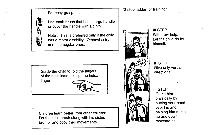For easy grasp...



Use tooth brush that has a large handle or cover the handle with a cloth.

Note : This is preferred only if the child has a motor disability. Otherwise try and use regular ones.

Guide the child to fold the fingers of the right hand, except the index

finger



Children learn better from other children. Let the child brush along with his sister/ brother and copy their movements.



lii STEP Withdraw help. Let the child do by himself.

II STEP Give only verbal directions

I STEP Guide him physically by putting your hand over his and helping him make up and down movements.

"3-step ladder for training"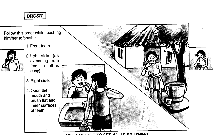#### **BRUSH**

Follow this order while teaching him/her to brush:

1. Front teeth..



- 2. Left side (as extending from front to left is easy).
- 3. Right side.
- 4. Open the mouth and brush flat and inner surfaces of teeth.



#### $I = I$  is a line of  $T$  of  $T$  will be dollered.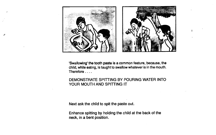

'Swallowing' the tooth paste is a common feature, because, the child, while eating, is taught to swallow whatever is in the mouth. Therefore....

#### DEMONSTRATE SPITTING BY POURING WATER INTO YOUR MOUTH AND SPITTING IT

Next ask the child to spit the paste out.

Enhance spitting by holding the child at the back of the neck, in a bent position.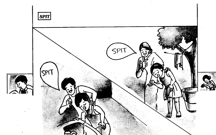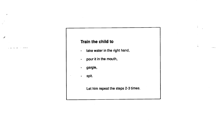#### Train the child to

- take water in the right hand,
- pour it in the mouth,
- gargle,
- spit.  $\blacksquare$

 $f^{\pm}$ 

Let him repeat the steps 2-3 times.

 $\frac{1}{\alpha}$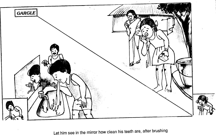

Let him see in the mirror how clean his teeth are, after brushing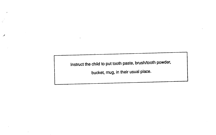Instruct the child to put tooth paste, brush/tooth powder,

غور

bucket, mug, in their usual place.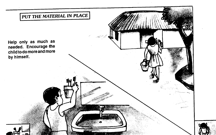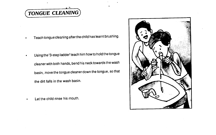## TONGUE CLEANING)

- Teach tongue cleaning afterthe child has learnt brushing.
- Using the '3-step ladder' teach him how to hold the tongue cleaner with both hands, bend his neck towards the wash basin, move the tongue cleaner down the tongue, so that the dirt falls in the wash basin.
- Let the child rinse his mouth.

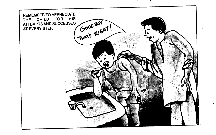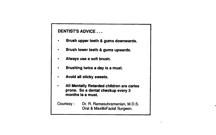#### DENTIST'S ADVICE . . .

- Brush upper teeth & gums downwards.
- Brush lower teeth & gums upwards.
- Always use a soft brush.
- Brushing twice a day Is a must.
- Avoid all sticky sweets.
- All Mentally Retarded children are caries prone. So a dental checkup every 3 months Is a must.

Courtesy: Dr. R. Ramasubramanian, M.D.S. Oral & MaxilloFacial Surgeon.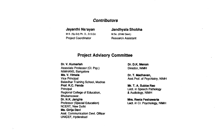#### **Contributors**

M.S. (Sp.Ed) Ph. D., D.S.Ed. M.Sc. (Child Devt.) Project Coordinator Research Assistant

#### Jayanthi Narayan Jandhyala Shobha

#### Project Advisory Committee

Dr. V. Kumarlah Dr. D.K. Menon Associate Professor (Cl. Psy.) Director, NIMH NIMHANS, Bangalore<br>Ms. V. Vimala Ms. V. Vimala Dr. T. Madhavan,<br>Vice Principal Dr. T. Madhavan, Dr. T. Madhavan, Balavihar Training School, Madras<br>Prof. K.C. Panda Principal College of Education, The College of Education, See College of Education, College of Audiology, NIMH Regional College of Education, Bhubaneswar. Dr. N.K. Jangira Mrs. Reeta Peshawaria<br>
Professor (Special Education) Mrs. Reeta Peshawaria<br>
Lect. in Cl. Psychology, N NCERT, New Delhi Ms. Girija DevI Asst. Communication Devt. Officer UNICEF, Hyderabad

Asst.Prof. of Psychiatry, NIMH

Mr. T. A. Subba Rao

Lect. in CI. Psychology, NIMH